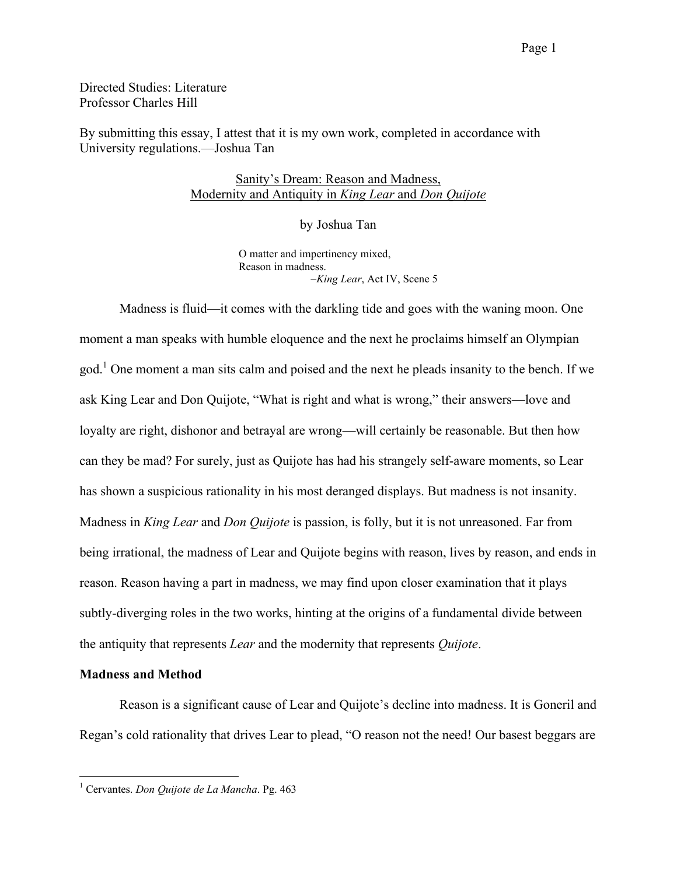Directed Studies: Literature Professor Charles Hill

By submitting this essay, I attest that it is my own work, completed in accordance with University regulations.—Joshua Tan

# Sanity's Dream: Reason and Madness, Modernity and Antiquity in *King Lear* and *Don Quijote*

by Joshua Tan

O matter and impertinency mixed, Reason in madness. –*King Lear*, Act IV, Scene 5

Madness is fluid—it comes with the darkling tide and goes with the waning moon. One moment a man speaks with humble eloquence and the next he proclaims himself an Olympian god.<sup>1</sup> One moment a man sits calm and poised and the next he pleads insanity to the bench. If we ask King Lear and Don Quijote, "What is right and what is wrong," their answers—love and loyalty are right, dishonor and betrayal are wrong—will certainly be reasonable. But then how can they be mad? For surely, just as Quijote has had his strangely self-aware moments, so Lear has shown a suspicious rationality in his most deranged displays. But madness is not insanity. Madness in *King Lear* and *Don Quijote* is passion, is folly, but it is not unreasoned. Far from being irrational, the madness of Lear and Quijote begins with reason, lives by reason, and ends in reason. Reason having a part in madness, we may find upon closer examination that it plays subtly-diverging roles in the two works, hinting at the origins of a fundamental divide between the antiquity that represents *Lear* and the modernity that represents *Quijote*.

## **Madness and Method**

Reason is a significant cause of Lear and Quijote's decline into madness. It is Goneril and Regan's cold rationality that drives Lear to plead, "O reason not the need! Our basest beggars are

 <sup>1</sup> Cervantes. *Don Quijote de La Mancha*. Pg. <sup>463</sup>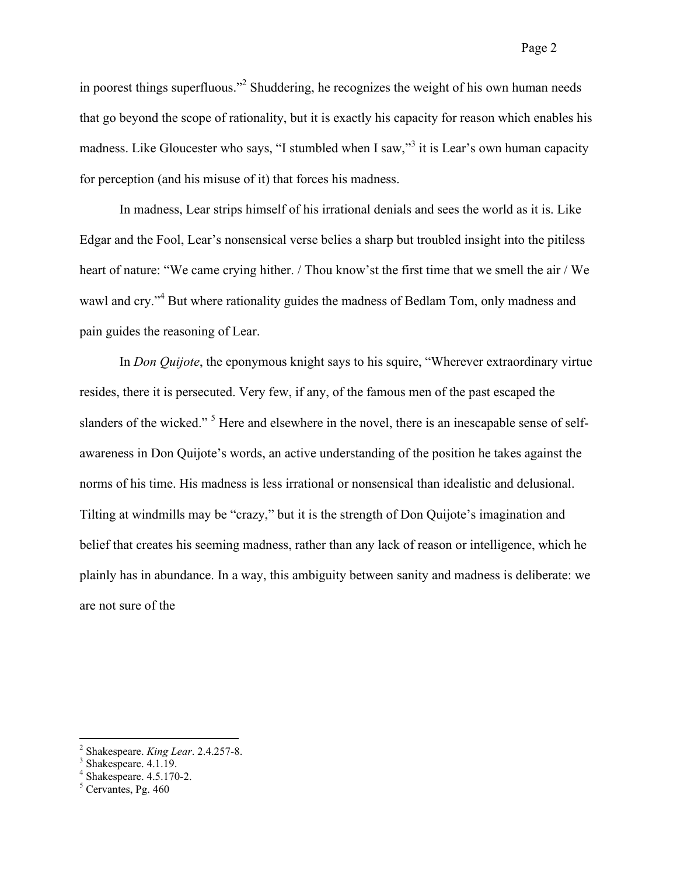in poorest things superfluous."<sup>2</sup> Shuddering, he recognizes the weight of his own human needs that go beyond the scope of rationality, but it is exactly his capacity for reason which enables his madness. Like Gloucester who says, "I stumbled when I saw,"<sup>3</sup> it is Lear's own human capacity for perception (and his misuse of it) that forces his madness.

In madness, Lear strips himself of his irrational denials and sees the world as it is. Like Edgar and the Fool, Lear's nonsensical verse belies a sharp but troubled insight into the pitiless heart of nature: "We came crying hither. / Thou know'st the first time that we smell the air / We wawl and cry."<sup>4</sup> But where rationality guides the madness of Bedlam Tom, only madness and pain guides the reasoning of Lear.

In *Don Quijote*, the eponymous knight says to his squire, "Wherever extraordinary virtue resides, there it is persecuted. Very few, if any, of the famous men of the past escaped the slanders of the wicked."<sup>5</sup> Here and elsewhere in the novel, there is an inescapable sense of selfawareness in Don Quijote's words, an active understanding of the position he takes against the norms of his time. His madness is less irrational or nonsensical than idealistic and delusional. Tilting at windmills may be "crazy," but it is the strength of Don Quijote's imagination and belief that creates his seeming madness, rather than any lack of reason or intelligence, which he plainly has in abundance. In a way, this ambiguity between sanity and madness is deliberate: we are not sure of the

<sup>&</sup>lt;sup>2</sup> Shakespeare. *King Lear*. 2.4.257-8.<br><sup>3</sup> Shakespeare. 4.1.19.<br><sup>4</sup> Shakespeare. 4.5.170-2.<br><sup>5</sup> Cervantes. Pg. 460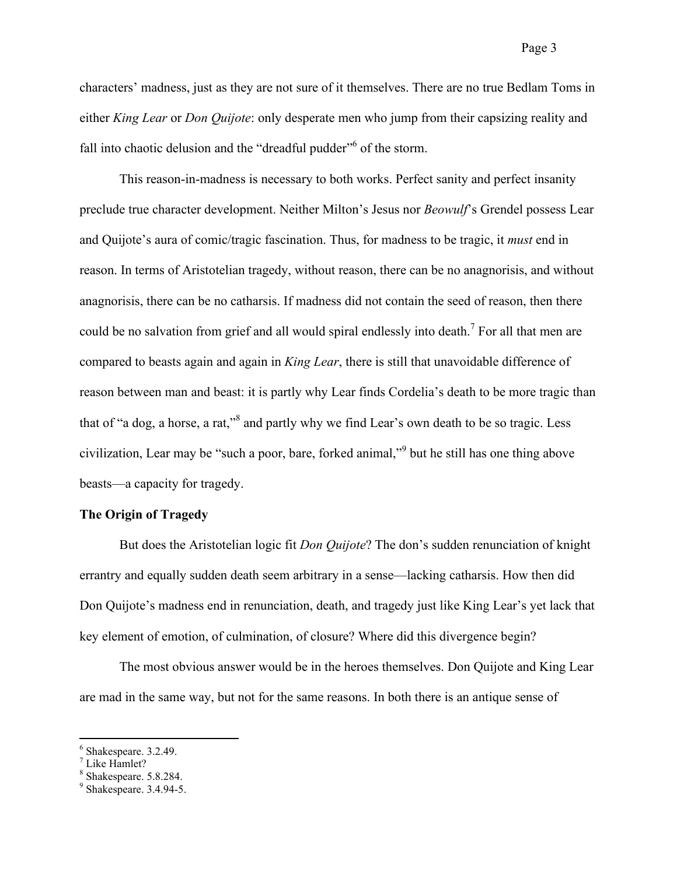Page 3

characters' madness, just as they are not sure of it themselves. There are no true Bedlam Toms in either *King Lear* or *Don Quijote*: only desperate men who jump from their capsizing reality and fall into chaotic delusion and the "dreadful pudder" of the storm.

This reason-in-madness is necessary to both works. Perfect sanity and perfect insanity preclude true character development. Neither Milton's Jesus nor *Beowulf*'s Grendel possess Lear and Quijote's aura of comic/tragic fascination. Thus, for madness to be tragic, it *must* end in reason. In terms of Aristotelian tragedy, without reason, there can be no anagnorisis, and without anagnorisis, there can be no catharsis. If madness did not contain the seed of reason, then there could be no salvation from grief and all would spiral endlessly into death.<sup>7</sup> For all that men are compared to beasts again and again in *King Lear*, there is still that unavoidable difference of reason between man and beast: it is partly why Lear finds Cordelia's death to be more tragic than that of "a dog, a horse, a rat,"<sup>8</sup> and partly why we find Lear's own death to be so tragic. Less civilization, Lear may be "such a poor, bare, forked animal,"<sup>9</sup> but he still has one thing above beasts—a capacity for tragedy.

### **The Origin of Tragedy**

But does the Aristotelian logic fit *Don Quijote*? The don's sudden renunciation of knight errantry and equally sudden death seem arbitrary in a sense—lacking catharsis. How then did Don Quijote's madness end in renunciation, death, and tragedy just like King Lear's yet lack that key element of emotion, of culmination, of closure? Where did this divergence begin?

The most obvious answer would be in the heroes themselves. Don Quijote and King Lear are mad in the same way, but not for the same reasons. In both there is an antique sense of

<sup>&</sup>lt;sup>6</sup> Shakespeare. 3.2.49.<br>
<sup>7</sup> Like Hamlet?<br>
<sup>8</sup> Shakespeare. 5.8.284.<br>
<sup>9</sup> Shakespeare. 3.4.94-5.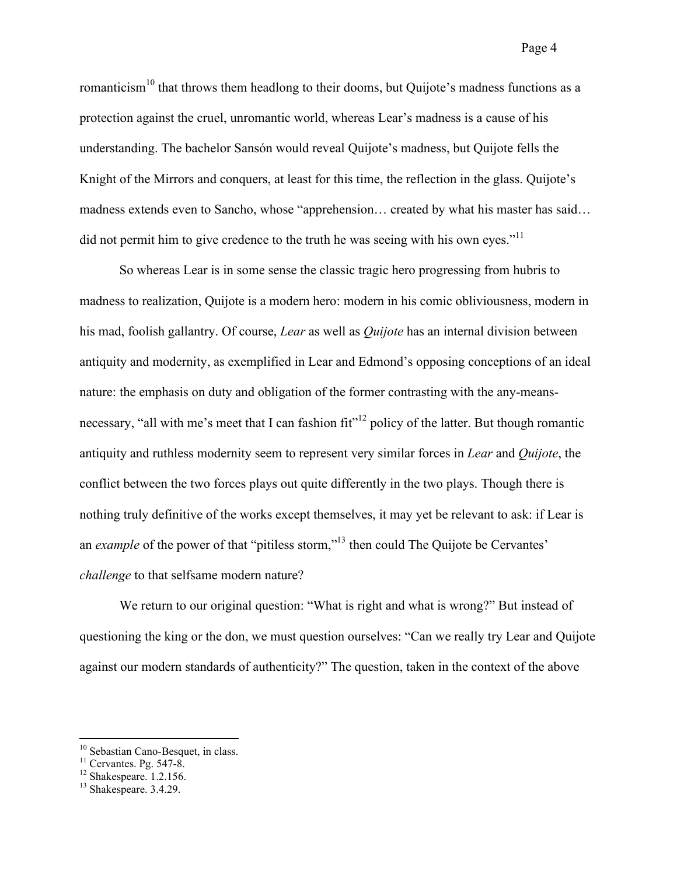romanticism<sup>10</sup> that throws them headlong to their dooms, but Quijote's madness functions as a protection against the cruel, unromantic world, whereas Lear's madness is a cause of his understanding. The bachelor Sansón would reveal Quijote's madness, but Quijote fells the Knight of the Mirrors and conquers, at least for this time, the reflection in the glass. Quijote's madness extends even to Sancho, whose "apprehension… created by what his master has said… did not permit him to give credence to the truth he was seeing with his own eyes."<sup>11</sup>

So whereas Lear is in some sense the classic tragic hero progressing from hubris to madness to realization, Quijote is a modern hero: modern in his comic obliviousness, modern in his mad, foolish gallantry. Of course, *Lear* as well as *Quijote* has an internal division between antiquity and modernity, as exemplified in Lear and Edmond's opposing conceptions of an ideal nature: the emphasis on duty and obligation of the former contrasting with the any-meansnecessary, "all with me's meet that I can fashion  $fit$ "<sup>12</sup> policy of the latter. But though romantic antiquity and ruthless modernity seem to represent very similar forces in *Lear* and *Quijote*, the conflict between the two forces plays out quite differently in the two plays. Though there is nothing truly definitive of the works except themselves, it may yet be relevant to ask: if Lear is an *example* of the power of that "pitiless storm,"<sup>13</sup> then could The Quijote be Cervantes' *challenge* to that selfsame modern nature?

We return to our original question: "What is right and what is wrong?" But instead of questioning the king or the don, we must question ourselves: "Can we really try Lear and Quijote against our modern standards of authenticity?" The question, taken in the context of the above

<sup>&</sup>lt;sup>10</sup> Sebastian Cano-Besquet, in class.<br><sup>11</sup> Cervantes. Pg. 547-8.<br><sup>12</sup> Shakespeare. 1.2.156.<br><sup>13</sup> Shakespeare. 3.4.29.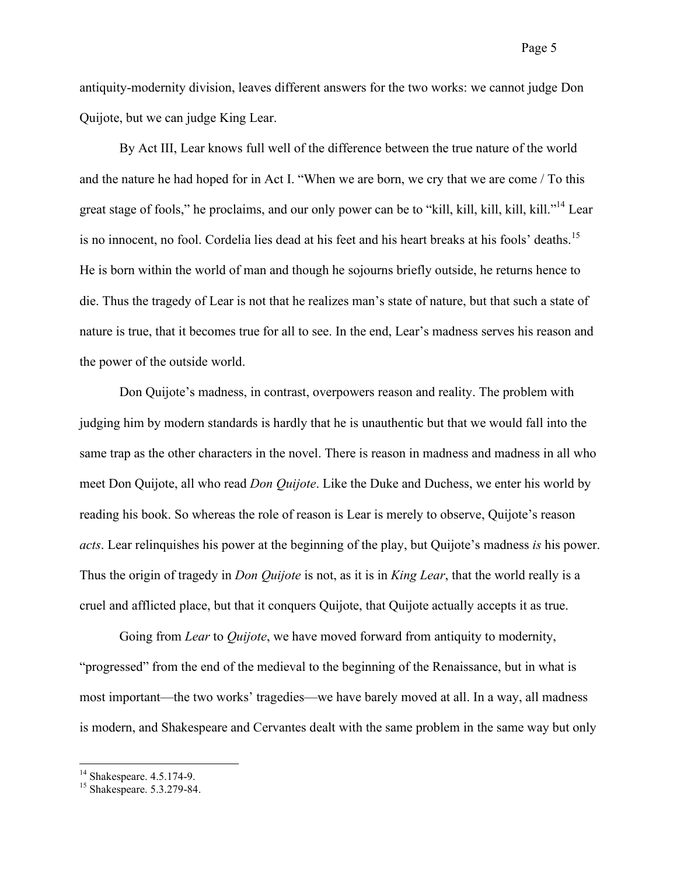antiquity-modernity division, leaves different answers for the two works: we cannot judge Don Quijote, but we can judge King Lear.

By Act III, Lear knows full well of the difference between the true nature of the world and the nature he had hoped for in Act I. "When we are born, we cry that we are come / To this great stage of fools," he proclaims, and our only power can be to "kill, kill, kill, kill, kill, kill."<sup>14</sup> Lear is no innocent, no fool. Cordelia lies dead at his feet and his heart breaks at his fools' deaths. 15 He is born within the world of man and though he sojourns briefly outside, he returns hence to die. Thus the tragedy of Lear is not that he realizes man's state of nature, but that such a state of nature is true, that it becomes true for all to see. In the end, Lear's madness serves his reason and the power of the outside world.

Don Quijote's madness, in contrast, overpowers reason and reality. The problem with judging him by modern standards is hardly that he is unauthentic but that we would fall into the same trap as the other characters in the novel. There is reason in madness and madness in all who meet Don Quijote, all who read *Don Quijote*. Like the Duke and Duchess, we enter his world by reading his book. So whereas the role of reason is Lear is merely to observe, Quijote's reason *acts*. Lear relinquishes his power at the beginning of the play, but Quijote's madness *is* his power. Thus the origin of tragedy in *Don Quijote* is not, as it is in *King Lear*, that the world really is a cruel and afflicted place, but that it conquers Quijote, that Quijote actually accepts it as true.

Going from *Lear* to *Quijote*, we have moved forward from antiquity to modernity, "progressed" from the end of the medieval to the beginning of the Renaissance, but in what is most important—the two works' tragedies—we have barely moved at all. In a way, all madness is modern, and Shakespeare and Cervantes dealt with the same problem in the same way but only

<sup>&</sup>lt;sup>14</sup> Shakespeare. 4.5.174-9.<br><sup>15</sup> Shakespeare. 5.3.279-84.